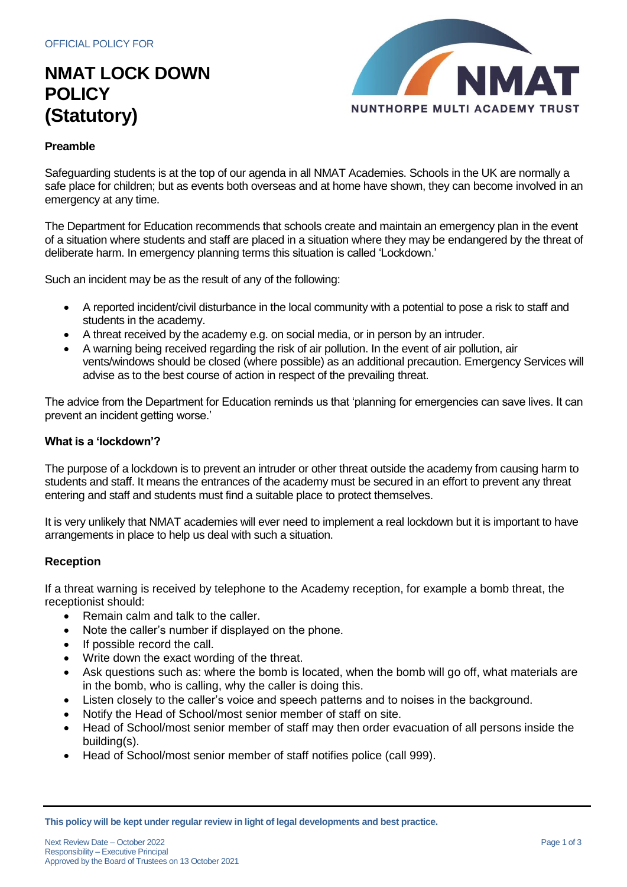# **NMAT LOCK DOWN POLICY (Statutory)**



#### **Preamble**

Safeguarding students is at the top of our agenda in all NMAT Academies. Schools in the UK are normally a safe place for children; but as events both overseas and at home have shown, they can become involved in an emergency at any time.

The Department for Education recommends that schools create and maintain an emergency plan in the event of a situation where students and staff are placed in a situation where they may be endangered by the threat of deliberate harm. In emergency planning terms this situation is called 'Lockdown.'

Such an incident may be as the result of any of the following:

- A reported incident/civil disturbance in the local community with a potential to pose a risk to staff and students in the academy.
- A threat received by the academy e.g. on social media, or in person by an intruder.
- A warning being received regarding the risk of air pollution. In the event of air pollution, air vents/windows should be closed (where possible) as an additional precaution. Emergency Services will advise as to the best course of action in respect of the prevailing threat.

The advice from the Department for Education reminds us that 'planning for emergencies can save lives. It can prevent an incident getting worse.'

#### **What is a 'lockdown'?**

The purpose of a lockdown is to prevent an intruder or other threat outside the academy from causing harm to students and staff. It means the entrances of the academy must be secured in an effort to prevent any threat entering and staff and students must find a suitable place to protect themselves.

It is very unlikely that NMAT academies will ever need to implement a real lockdown but it is important to have arrangements in place to help us deal with such a situation.

#### **Reception**

If a threat warning is received by telephone to the Academy reception, for example a bomb threat, the receptionist should:

- Remain calm and talk to the caller.
- Note the caller's number if displayed on the phone.
- If possible record the call.
- Write down the exact wording of the threat.
- Ask questions such as: where the bomb is located, when the bomb will go off, what materials are in the bomb, who is calling, why the caller is doing this.
- Listen closely to the caller's voice and speech patterns and to noises in the background.
- Notify the Head of School/most senior member of staff on site.
- Head of School/most senior member of staff may then order evacuation of all persons inside the building(s).
- Head of School/most senior member of staff notifies police (call 999).

**This policy will be kept under regular review in light of legal developments and best practice.**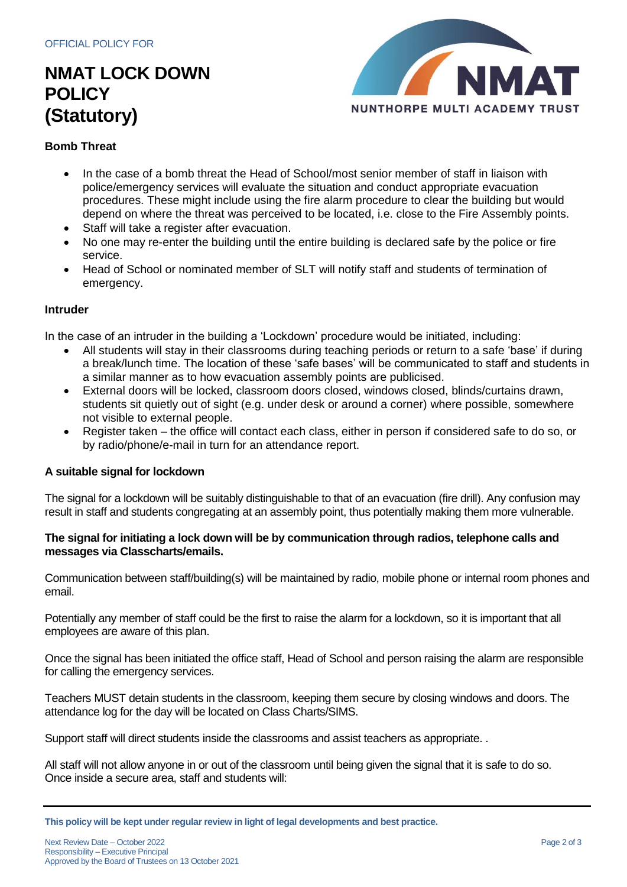# **NMAT LOCK DOWN POLICY (Statutory)**



### **Bomb Threat**

- In the case of a bomb threat the Head of School/most senior member of staff in liaison with police/emergency services will evaluate the situation and conduct appropriate evacuation procedures. These might include using the fire alarm procedure to clear the building but would depend on where the threat was perceived to be located, i.e. close to the Fire Assembly points.
- Staff will take a register after evacuation.
- No one may re-enter the building until the entire building is declared safe by the police or fire service.
- Head of School or nominated member of SLT will notify staff and students of termination of emergency.

#### **Intruder**

In the case of an intruder in the building a 'Lockdown' procedure would be initiated, including:

- All students will stay in their classrooms during teaching periods or return to a safe 'base' if during a break/lunch time. The location of these 'safe bases' will be communicated to staff and students in a similar manner as to how evacuation assembly points are publicised.
- External doors will be locked, classroom doors closed, windows closed, blinds/curtains drawn, students sit quietly out of sight (e.g. under desk or around a corner) where possible, somewhere not visible to external people.
- Register taken the office will contact each class, either in person if considered safe to do so, or by radio/phone/e-mail in turn for an attendance report.

#### **A suitable signal for lockdown**

The signal for a lockdown will be suitably distinguishable to that of an evacuation (fire drill). Any confusion may result in staff and students congregating at an assembly point, thus potentially making them more vulnerable.

#### **The signal for initiating a lock down will be by communication through radios, telephone calls and messages via Classcharts/emails.**

Communication between staff/building(s) will be maintained by radio, mobile phone or internal room phones and email.

Potentially any member of staff could be the first to raise the alarm for a lockdown, so it is important that all employees are aware of this plan.

Once the signal has been initiated the office staff, Head of School and person raising the alarm are responsible for calling the emergency services.

Teachers MUST detain students in the classroom, keeping them secure by closing windows and doors. The attendance log for the day will be located on Class Charts/SIMS.

Support staff will direct students inside the classrooms and assist teachers as appropriate. .

All staff will not allow anyone in or out of the classroom until being given the signal that it is safe to do so. Once inside a secure area, staff and students will:

**This policy will be kept under regular review in light of legal developments and best practice.**